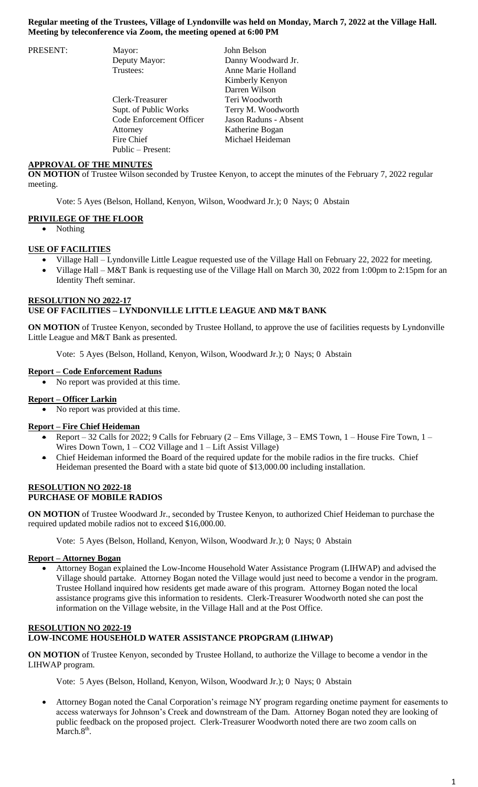### **Regular meeting of the Trustees, Village of Lyndonville was held on Monday, March 7, 2022 at the Village Hall. Meeting by teleconference via Zoom, the meeting opened at 6:00 PM**

| PRESENT: | Mayor:                   | John Belson           |
|----------|--------------------------|-----------------------|
|          | Deputy Mayor:            | Danny Woodward Jr.    |
|          | Trustees:                | Anne Marie Holland    |
|          |                          | Kimberly Kenyon       |
|          |                          | Darren Wilson         |
|          | Clerk-Treasurer          | Teri Woodworth        |
|          | Supt. of Public Works    | Terry M. Woodworth    |
|          | Code Enforcement Officer | Jason Raduns - Absent |
|          | Attorney                 | Katherine Bogan       |
|          | Fire Chief               | Michael Heideman      |
|          | Public – Present:        |                       |

### **APPROVAL OF THE MINUTES**

**ON MOTION** of Trustee Wilson seconded by Trustee Kenyon, to accept the minutes of the February 7, 2022 regular meeting.

Vote: 5 Ayes (Belson, Holland, Kenyon, Wilson, Woodward Jr.); 0 Nays; 0 Abstain

### **PRIVILEGE OF THE FLOOR**

Nothing

### **USE OF FACILITIES**

- Village Hall Lyndonville Little League requested use of the Village Hall on February 22, 2022 for meeting.
- Village Hall M&T Bank is requesting use of the Village Hall on March 30, 2022 from 1:00pm to 2:15pm for an Identity Theft seminar.

## **RESOLUTION NO 2022-17 USE OF FACILITIES – LYNDONVILLE LITTLE LEAGUE AND M&T BANK**

**ON MOTION** of Trustee Kenyon, seconded by Trustee Holland, to approve the use of facilities requests by Lyndonville Little League and M&T Bank as presented.

Vote: 5 Ayes (Belson, Holland, Kenyon, Wilson, Woodward Jr.); 0 Nays; 0 Abstain

### **Report – Code Enforcement Raduns**

No report was provided at this time.

# **Report – Officer Larkin**

No report was provided at this time.

#### **Report – Fire Chief Heideman**

- Report 32 Calls for 2022; 9 Calls for February  $(2 Ems$  Village,  $3 EMS$  Town,  $1 House$  Fire Town,  $1 H(x)$ Wires Down Town, 1 – CO2 Village and 1 – Lift Assist Village)
- Chief Heideman informed the Board of the required update for the mobile radios in the fire trucks. Chief Heideman presented the Board with a state bid quote of \$13,000.00 including installation.

### **RESOLUTION NO 2022-18 PURCHASE OF MOBILE RADIOS**

**ON MOTION** of Trustee Woodward Jr., seconded by Trustee Kenyon, to authorized Chief Heideman to purchase the required updated mobile radios not to exceed \$16,000.00.

Vote: 5 Ayes (Belson, Holland, Kenyon, Wilson, Woodward Jr.); 0 Nays; 0 Abstain

#### **Report – Attorney Bogan**

 Attorney Bogan explained the Low-Income Household Water Assistance Program (LIHWAP) and advised the Village should partake. Attorney Bogan noted the Village would just need to become a vendor in the program. Trustee Holland inquired how residents get made aware of this program. Attorney Bogan noted the local assistance programs give this information to residents. Clerk-Treasurer Woodworth noted she can post the information on the Village website, in the Village Hall and at the Post Office.

## **RESOLUTION NO 2022-19 LOW-INCOME HOUSEHOLD WATER ASSISTANCE PROPGRAM (LIHWAP)**

**ON MOTION** of Trustee Kenyon, seconded by Trustee Holland, to authorize the Village to become a vendor in the LIHWAP program.

Vote: 5 Ayes (Belson, Holland, Kenyon, Wilson, Woodward Jr.); 0 Nays; 0 Abstain

 Attorney Bogan noted the Canal Corporation's reimage NY program regarding onetime payment for easements to access waterways for Johnson's Creek and downstream of the Dam. Attorney Bogan noted they are looking of public feedback on the proposed project. Clerk-Treasurer Woodworth noted there are two zoom calls on  $March.8<sup>th</sup>$ .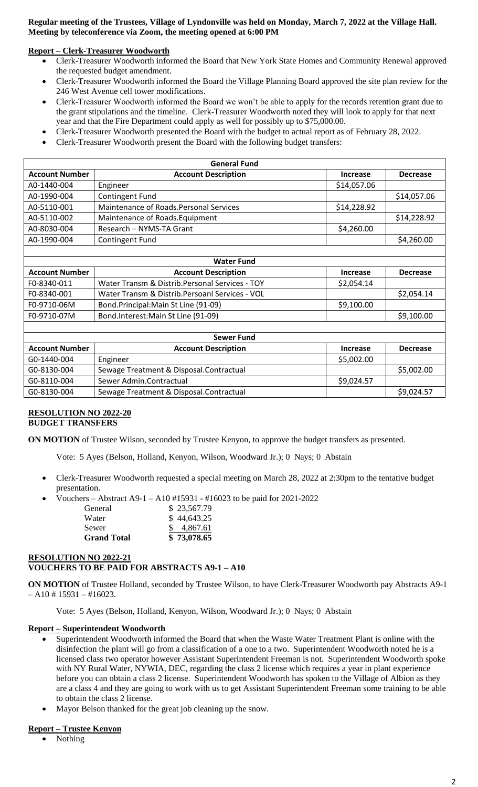## **Regular meeting of the Trustees, Village of Lyndonville was held on Monday, March 7, 2022 at the Village Hall. Meeting by teleconference via Zoom, the meeting opened at 6:00 PM**

## **Report – Clerk-Treasurer Woodworth**

- Clerk-Treasurer Woodworth informed the Board that New York State Homes and Community Renewal approved the requested budget amendment.
- Clerk-Treasurer Woodworth informed the Board the Village Planning Board approved the site plan review for the 246 West Avenue cell tower modifications.
- Clerk-Treasurer Woodworth informed the Board we won't be able to apply for the records retention grant due to the grant stipulations and the timeline. Clerk-Treasurer Woodworth noted they will look to apply for that next year and that the Fire Department could apply as well for possibly up to \$75,000.00.
- Clerk-Treasurer Woodworth presented the Board with the budget to actual report as of February 28, 2022.
- Clerk-Treasurer Woodworth present the Board with the following budget transfers:

| <b>General Fund</b>   |                                         |                 |                 |  |
|-----------------------|-----------------------------------------|-----------------|-----------------|--|
| <b>Account Number</b> | <b>Account Description</b>              | <b>Increase</b> | <b>Decrease</b> |  |
| A0-1440-004           | Engineer                                | \$14,057.06     |                 |  |
| A0-1990-004           | <b>Contingent Fund</b>                  |                 | \$14,057.06     |  |
| A0-5110-001           | Maintenance of Roads. Personal Services | \$14,228.92     |                 |  |
| A0-5110-002           | Maintenance of Roads. Equipment         |                 | \$14,228.92     |  |
| A0-8030-004           | Research - NYMS-TA Grant                | \$4,260.00      |                 |  |
| A0-1990-004           | <b>Contingent Fund</b>                  |                 | \$4,260.00      |  |
|                       |                                         |                 |                 |  |
| <b>Water Fund</b>     |                                         |                 |                 |  |

| <b>Account Number</b> | <b>Account Description</b>                      | <b>Increase</b> | <b>Decrease</b> |  |
|-----------------------|-------------------------------------------------|-----------------|-----------------|--|
| F0-8340-011           | Water Transm & Distrib. Personal Services - TOY | \$2,054.14      |                 |  |
| F0-8340-001           | Water Transm & Distrib. Persoanl Services - VOL |                 | \$2,054.14      |  |
| F0-9710-06M           | Bond.Principal:Main St Line (91-09)             | \$9,100.00      |                 |  |
| F0-9710-07M           | Bond.Interest: Main St Line (91-09)             |                 | \$9,100.00      |  |

| Sewer Fund            |                                         |            |                 |  |
|-----------------------|-----------------------------------------|------------|-----------------|--|
| <b>Account Number</b> | <b>Account Description</b>              | Increase   | <b>Decrease</b> |  |
| G0-1440-004           | Engineer                                | \$5,002.00 |                 |  |
| G0-8130-004           | Sewage Treatment & Disposal.Contractual |            | \$5,002.00      |  |
| G0-8110-004           | Sewer Admin.Contractual                 | \$9,024.57 |                 |  |
| G0-8130-004           | Sewage Treatment & Disposal.Contractual |            | \$9,024.57      |  |

### **RESOLUTION NO 2022-20 BUDGET TRANSFERS**

Г

**ON MOTION** of Trustee Wilson, seconded by Trustee Kenyon, to approve the budget transfers as presented.

Vote: 5 Ayes (Belson, Holland, Kenyon, Wilson, Woodward Jr.); 0 Nays; 0 Abstain

- Clerk-Treasurer Woodworth requested a special meeting on March 28, 2022 at 2:30pm to the tentative budget presentation.
- Vouchers Abstract A9-1 A10 #15931 #16023 to be paid for 2021-2022

| General            | \$23,567.79 |
|--------------------|-------------|
| Water              | \$44,643.25 |
| Sewer              | 4.867.61    |
| <b>Grand Total</b> | \$73,078.65 |

### **RESOLUTION NO 2022-21 VOUCHERS TO BE PAID FOR ABSTRACTS A9-1 – A10**

**ON MOTION** of Trustee Holland, seconded by Trustee Wilson, to have Clerk-Treasurer Woodworth pay Abstracts A9-1  $- A10 \# 15931 - #16023.$ 

Vote: 5 Ayes (Belson, Holland, Kenyon, Wilson, Woodward Jr.); 0 Nays; 0 Abstain

## **Report – Superintendent Woodworth**

- Superintendent Woodworth informed the Board that when the Waste Water Treatment Plant is online with the disinfection the plant will go from a classification of a one to a two. Superintendent Woodworth noted he is a licensed class two operator however Assistant Superintendent Freeman is not. Superintendent Woodworth spoke with NY Rural Water, NYWIA, DEC, regarding the class 2 license which requires a year in plant experience before you can obtain a class 2 license. Superintendent Woodworth has spoken to the Village of Albion as they are a class 4 and they are going to work with us to get Assistant Superintendent Freeman some training to be able to obtain the class 2 license.
- Mayor Belson thanked for the great job cleaning up the snow.

## **Report – Trustee Kenyon**

Nothing

٦